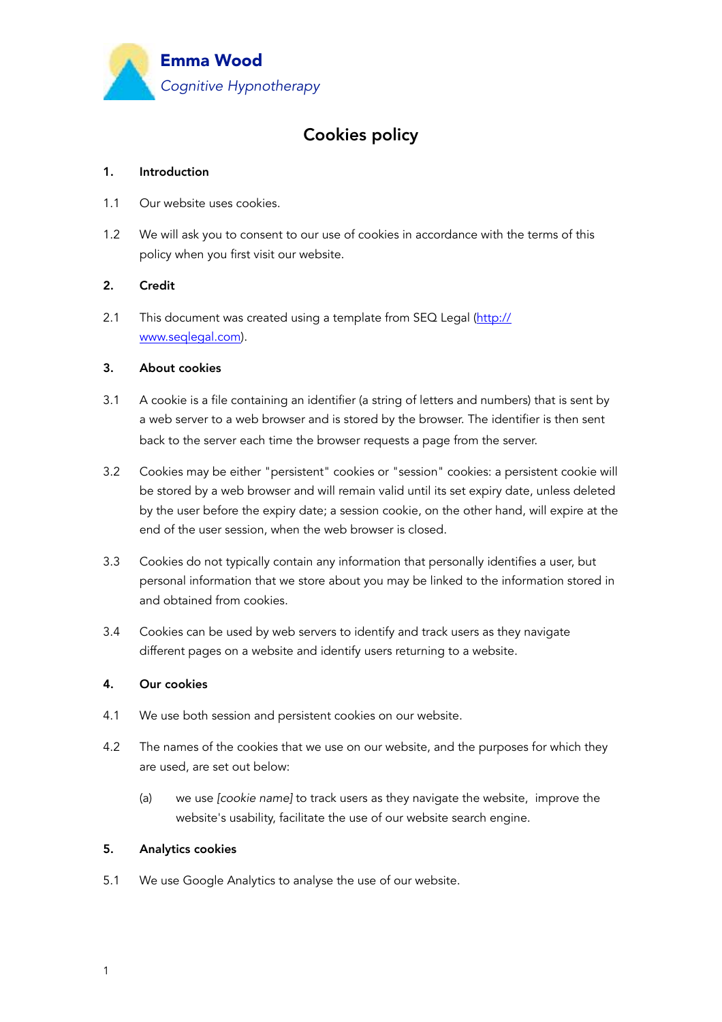

# Cookies policy

#### 1. Introduction

- 1.1 Our website uses cookies.
- 1.2 We will ask you to consent to our use of cookies in accordance with the terms of this policy when you first visit our website.

## 2. Credit

2.1 This document was created using a template from SEQ Legal ([http://](http://www.seqlegal.com) [www.seqlegal.com\)](http://www.seqlegal.com).

## 3. About cookies

- 3.1 A cookie is a file containing an identifier (a string of letters and numbers) that is sent by a web server to a web browser and is stored by the browser. The identifier is then sent back to the server each time the browser requests a page from the server.
- 3.2 Cookies may be either "persistent" cookies or "session" cookies: a persistent cookie will be stored by a web browser and will remain valid until its set expiry date, unless deleted by the user before the expiry date; a session cookie, on the other hand, will expire at the end of the user session, when the web browser is closed.
- 3.3 Cookies do not typically contain any information that personally identifies a user, but personal information that we store about you may be linked to the information stored in and obtained from cookies.
- 3.4 Cookies can be used by web servers to identify and track users as they navigate different pages on a website and identify users returning to a website.

#### 4. Our cookies

- 4.1 We use both session and persistent cookies on our website.
- 4.2 The names of the cookies that we use on our website, and the purposes for which they are used, are set out below:
	- (a) we use *[cookie name]* to track users as they navigate the website, improve the website's usability, facilitate the use of our website search engine.

#### 5. Analytics cookies

5.1 We use Google Analytics to analyse the use of our website.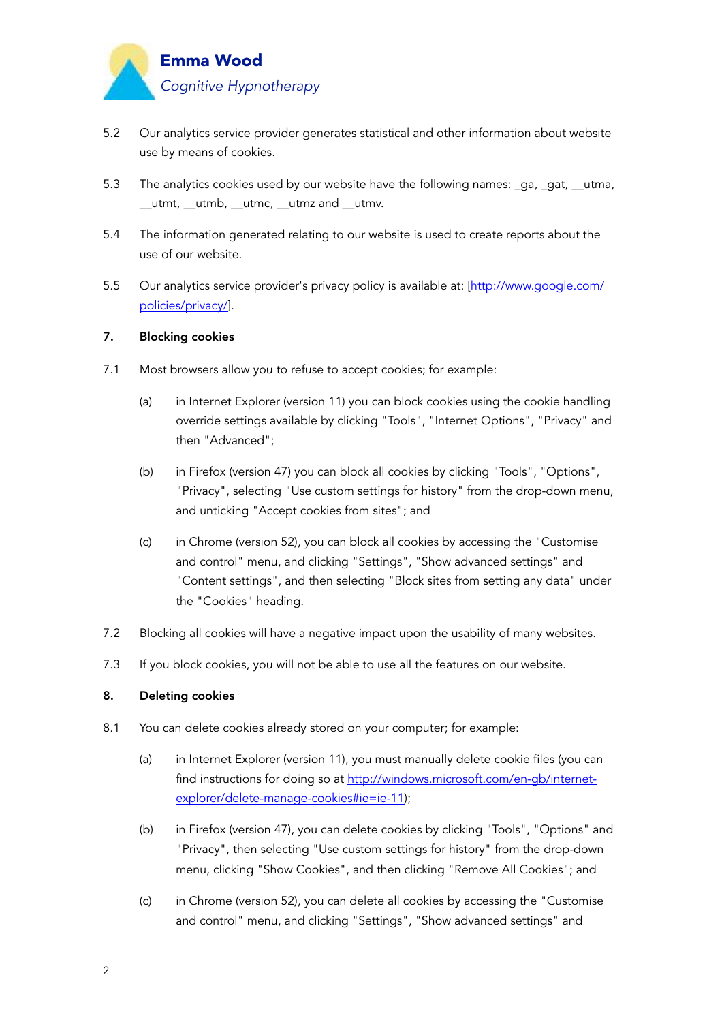

- 5.2 Our analytics service provider generates statistical and other information about website use by means of cookies.
- 5.3 The analytics cookies used by our website have the following names: \_ga, \_gat, \_\_utma, \_\_utmt, \_\_utmb, \_\_utmc, \_\_utmz and \_\_utmv.
- 5.4 The information generated relating to our website is used to create reports about the use of our website.
- 5.5 Our analytics service provider's privacy policy is available at: [[http://www.google.com/](http://www.google.com/policies/privacy/) [policies/privacy/\]](http://www.google.com/policies/privacy/).

#### 7. Blocking cookies

- 7.1 Most browsers allow you to refuse to accept cookies; for example:
	- (a) in Internet Explorer (version 11) you can block cookies using the cookie handling override settings available by clicking "Tools", "Internet Options", "Privacy" and then "Advanced";
	- (b) in Firefox (version 47) you can block all cookies by clicking "Tools", "Options", "Privacy", selecting "Use custom settings for history" from the drop-down menu, and unticking "Accept cookies from sites"; and
	- (c) in Chrome (version 52), you can block all cookies by accessing the "Customise and control" menu, and clicking "Settings", "Show advanced settings" and "Content settings", and then selecting "Block sites from setting any data" under the "Cookies" heading.
- 7.2 Blocking all cookies will have a negative impact upon the usability of many websites.
- 7.3 If you block cookies, you will not be able to use all the features on our website.

### 8. Deleting cookies

- 8.1 You can delete cookies already stored on your computer; for example:
	- (a) in Internet Explorer (version 11), you must manually delete cookie files (you can find instructions for doing so at [http://windows.microsoft.com/en-gb/internet](http://windows.microsoft.com/en-gb/internet-explorer/delete-manage-cookies%23ie=ie-11)[explorer/delete-manage-cookies#ie=ie-11\);](http://windows.microsoft.com/en-gb/internet-explorer/delete-manage-cookies%23ie=ie-11)
	- (b) in Firefox (version 47), you can delete cookies by clicking "Tools", "Options" and "Privacy", then selecting "Use custom settings for history" from the drop-down menu, clicking "Show Cookies", and then clicking "Remove All Cookies"; and
	- (c) in Chrome (version 52), you can delete all cookies by accessing the "Customise and control" menu, and clicking "Settings", "Show advanced settings" and